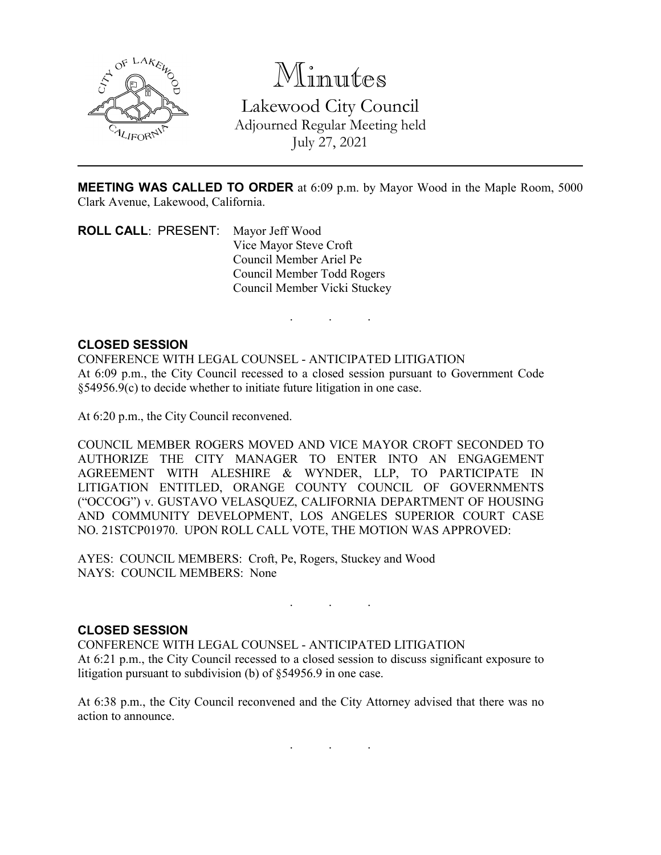

Minutes Lakewood City Council Adjourned Regular Meeting held July 27, 2021

**MEETING WAS CALLED TO ORDER** at 6:09 p.m. by Mayor Wood in the Maple Room, 5000 Clark Avenue, Lakewood, California.

. . .

**ROLL CALL**: PRESENT: Mayor Jeff Wood Vice Mayor Steve Croft Council Member Ariel Pe Council Member Todd Rogers Council Member Vicki Stuckey

## **CLOSED SESSION**

CONFERENCE WITH LEGAL COUNSEL - ANTICIPATED LITIGATION At 6:09 p.m., the City Council recessed to a closed session pursuant to Government Code §54956.9(c) to decide whether to initiate future litigation in one case.

At 6:20 p.m., the City Council reconvened.

COUNCIL MEMBER ROGERS MOVED AND VICE MAYOR CROFT SECONDED TO AUTHORIZE THE CITY MANAGER TO ENTER INTO AN ENGAGEMENT AGREEMENT WITH ALESHIRE & WYNDER, LLP, TO PARTICIPATE IN LITIGATION ENTITLED, ORANGE COUNTY COUNCIL OF GOVERNMENTS ("OCCOG") v. GUSTAVO VELASQUEZ, CALIFORNIA DEPARTMENT OF HOUSING AND COMMUNITY DEVELOPMENT, LOS ANGELES SUPERIOR COURT CASE NO. 21STCP01970. UPON ROLL CALL VOTE, THE MOTION WAS APPROVED:

AYES: COUNCIL MEMBERS: Croft, Pe, Rogers, Stuckey and Wood NAYS: COUNCIL MEMBERS: None

## **CLOSED SESSION**

CONFERENCE WITH LEGAL COUNSEL - ANTICIPATED LITIGATION At 6:21 p.m., the City Council recessed to a closed session to discuss significant exposure to litigation pursuant to subdivision (b) of §54956.9 in one case.

. . .

At 6:38 p.m., the City Council reconvened and the City Attorney advised that there was no action to announce.

. . .